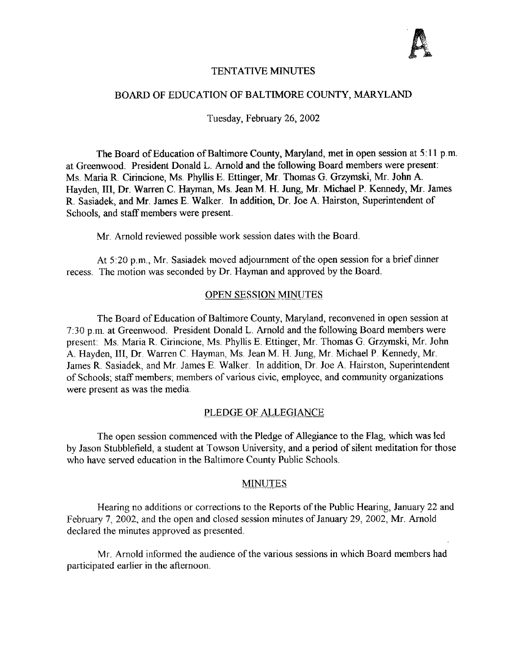### TENTATIVE MINUTES

#### BOARD OF EDUCATION OF BALTIMORE COUNTY, MARYLAND

Tuesday, February 26, 2002

The Board of Education of Baltimore County, Maryland, met in open session at 5:11 p.m. at Greenwood. President Donald L. Arnold and the following Board members were present : Ms. Maria R. Cirincione, Ms. Phyllis E. Ettinger, Mr. Thomas G. Grzymski, Mr. John A. Hayden, III, Dr. Warren C. Hayman, Ms. Jean M. H. Jung, Mr. Michael P. Kennedy, Mr. James R. Sasiadek, and Mr. James E . Walker. In addition, Dr. Joe A. Hairston, Superintendent of Schools, and staff members were present.

Mr. Arnold reviewed possible work session dates with the Board.

At 5:20 p.m., Mr. Sasiadek moved adjournment of the open session for a brief dinner recess. The motion was seconded by Dr. Hayman and approved by the Board.

#### OPEN SESSION MINUTES

The Board of Education of Baltimore County, Maryland, reconvened in open session at 7 :30 p.m. at Greenwood. President Donald L. Arnold and the following Board members were present: Ms. Maria R. Cirincione, Ms. Phyllis E. Ettinger, Mr. Thomas G. Grzymski, Mr. John A. Hayden, III, Dr. Warren C. Hayman, Ms. Jean M. H. Jung, Mr. Michael P. Kennedy, Mr. James R. Sasiadek, and Mr James E. Walker. In addition, Dr. Joe A. Hairston, Superintendent of Schools; staff members; members of various civic, employee, and community organizations were present as was the media.

#### PLEDGE OF ALLEGIANCE

The open session commenced with the Pledge of Allegiance to the Flag, which was led by Jason Stubblefield, a student at Towson University, and a period of silent meditation for those who have served education in the Baltimore County Public Schools.

### MINUTES

Hearing no additions or corrections to the Reports of the Public Hearing, January 22 and February 7, 2002, and the open and closed session minutes of January 29, 2002, Mr. Arnold declared the minutes approved as presented.

Mr. Arnold informed the audience of the various sessions in which Board members had participated earlier in the afternoon.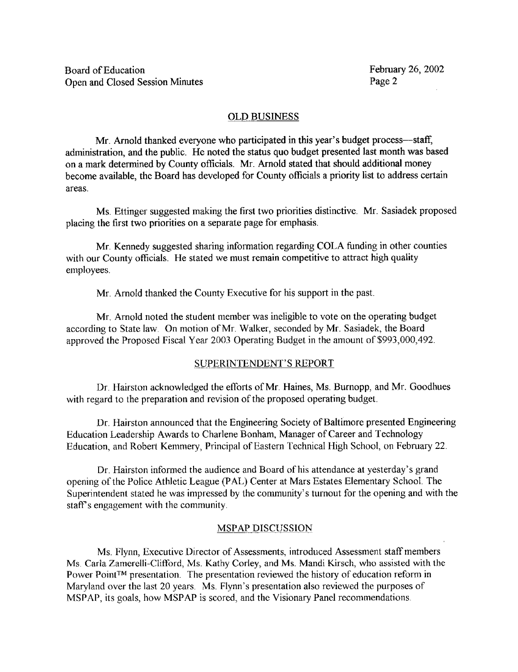### OLD BUSINESS

Mr. Arnold thanked everyone who participated in this year's budget process-staff, administration, and the public. He noted the status quo budget presented last month was based on a mark determined by County officials. Mr. Arnold stated that should additional money become available, the Board has developed for County officials a priority list to address certain areas.

Ms. Ettinger suggested making the first two priorities distinctive. Mr. Sasiadek proposed placing the first two priorities on a separate page for emphasis.

Mr Kennedy suggested sharing information regarding COLA funding in other counties with our County officials. He stated we must remain competitive to attract high quality employees.

Mr. Arnold thanked the County Executive for his support in the past.

Mr. Arnold noted the student member was ineligible to vote on the operating budget according to State law. On motion of Mr. Walker, seconded by Mr. Sasiadek, the Board approved the Proposed Fiscal Year 2003 Operating Budget in the amount of \$993,000,492 .

## SUPERINTENDENT'S REPORT

Dr. Hairston acknowledged the efforts of Mr. Haines, Ms . Burnopp, and Mr. Goodhues with regard to the preparation and revision of the proposed operating budget.

Dr. Hairston announced that the Engineering Society of Baltimore presented Engineering Education Leadership Awards to Charlene Bonham, Manager of Career and Technology Education, and Robert Kemmery, Principal of Eastern Technical High School, on February 22 .

Dr. Hairston informed the audience and Board of his attendance at yesterday's grand opening of the Police Athletic League (PAL) Center at Mars Estates Elementary School The Superintendent stated he was impressed by the community's turnout for the opening and with the staff's engagement with the community.

## MSPAP DISCUSSION

Ms. Flynn, Executive Director of Assessments, introduced Assessment staff members Ms. Carla Zamerelli-Clifford, Ms. Kathy Corley, and Ms. Mandi Kirsch, who assisted with the Power Point<sup>TM</sup> presentation. The presentation reviewed the history of education reform in Maryland over the last 20 years. Ms. Flynn's presentation also reviewed the purposes of MSPAP, its goals, how MSPAP is scored, and the Visionary Panel recommendations .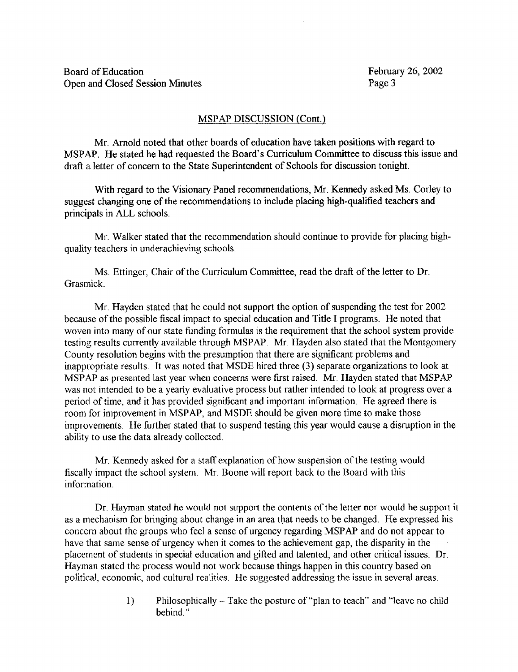## MSPAP DISCUSSION (Cont.)

Mr. Arnold noted that other boards of education have taken positions with regard to MSPAP. He stated he had requested the Board's Curriculum Committee to discuss this issue and draft a letter of concern to the State Superintendent of Schools for discussion tonight.

With regard to the Visionary Panel recommendations, Mr. Kennedy asked Ms. Corley to suggest changing one of the recommendations to include placing high-qualified teachers and principals in ALL schools.

Mr. Walker stated that the recommendation should continue to provide for placing highquality teachers in underachieving schools.

Ms. Ettinger, Chair of the Curriculum Committee, read the draft of the letter to Dr. Grasmick.

Mr. Hayden stated that he could not support the option of suspending the test for 2002 because of the possible fiscal impact to special education and Title <sup>I</sup> programs. He noted that woven into many of our state funding formulas is the requirement that the school system provide testing results currently available through MSPAP. Mr. Hayden also stated that the Montgomery County resolution begins with the presumption that there are significant problems and inappropriate results. It was noted that MSDE hired three (3) separate organizations to look at MSPAP as presented last year when concerns were first raised. Mr. Hayden stated that MSPAP was not intended to be a yearly evaluative process but rather intended to look at progress over a period of time, and it has provided significant and important information. He agreed there is room for improvement in MSPAP, and MSDE should be given more time to make those improvements. He further stated that to suspend testing this year would cause a disruption in the ability to use the data already collected .

Mr. Kennedy asked for <sup>a</sup> staff explanation of how suspension of the testing would fiscally impact the school system. Mr. Boone will report back to the Board with this information.

Dr. Hayman stated he would not support the contents of the letter nor would he support it as a mechanism for bringing about change in an area that needs to be changed . He expressed his concern about the groups who feel <sup>a</sup> sense of urgency regarding MSPAP and do not appear to have that same sense of urgency when it comes to the achievement gap, the disparity in the placement of students in special education and gifted and talented, and other critical issues. Dr Hayman stated the process would not work because things happen in this country based on political, economic, and cultural realities . He suggested addressing the issue in several areas.

> 1) Philosophically - Take the posture of"plan to teach" and "leave no child behind."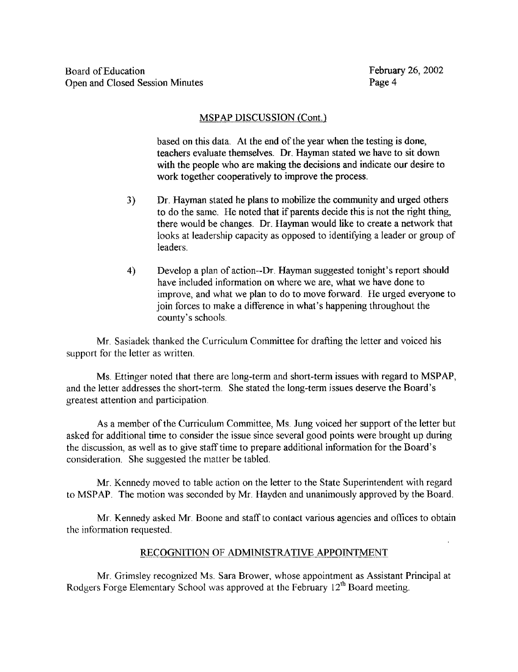## MSPAP DISCUSSION (Cont.)

based on this data. At the end of the year when the testing is done, teachers evaluate themselves. Dr. Hayman stated we have to sit down with the people who are making the decisions and indicate our desire to work together cooperatively to improve the process

- 3) Dr. Hayman stated he plans to mobilize the community and urged others to do the same. He noted that if parents decide this is not the right thing, there would be changes. Dr. Hayman would like to create a network that looks at leadership capacity as opposed to identifying <sup>a</sup> leader or group of leaders.
- 4) Develop a plan of action--Dr. Hayman suggested tonight's report should have included information on where we are, what we have done to improve, and what we plan to do to move forward. He urged everyone to join forces to make <sup>a</sup> difference in what's happening throughout the county's schools.

Mr. Sasiadek thanked the Curriculum Committee for drafting the letter and voiced his support for the letter as written.

Ms. Ettinger noted that there are long-term and short-term issues with regard to MSPAP, and the letter addresses the short-term . She stated the long-term issues deserve the Board's greatest attention and participation .

As <sup>a</sup> member of the Curriculum Committee, Ms. Jung voiced her support of the letter but asked for additional time to consider the issue since several good points were brought up during the discussion, as well as to give staff time to prepare additional information for the Board's consideration. She suggested the matter be tabled.

Mr. Kennedy moved to table action on the letter to the State Superintendent with regard to MSPAP. The motion was seconded by Mr. Hayden and unanimously approved by the Board.

Mr. Kennedy asked Mr. Boone and staff to contact various agencies and offices to obtain the information requested.

## RECOGNITION OF ADMINISTRATIVE APPOINTMENT

Mr. Grimsley recognized Ms. Sara Brower, whose appointment as Assistant Principal at Rodgers Forge Elementary School was approved at the February  $12<sup>th</sup>$  Board meeting.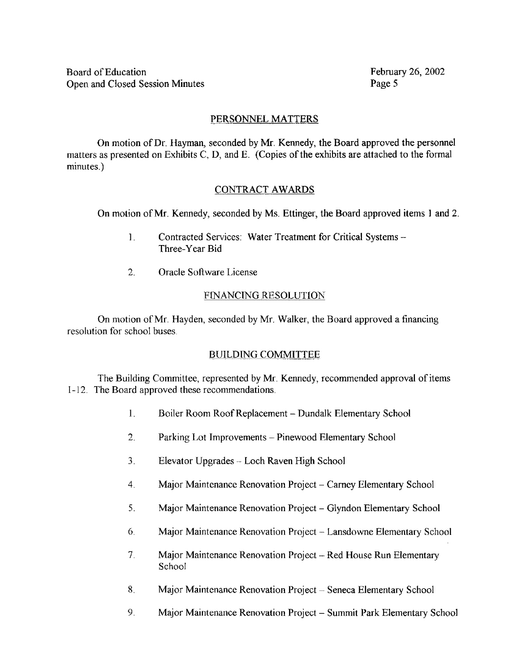## PERSONNEL MATTERS

On motion ofDr. Hayman, seconded by Mr. Kennedy, the Board approved the personnel matters as presented on Exhibits C, D, and E. (Copies of the exhibits are attached to the formal minutes.)

# CONTRACT AWARDS

On motion of Mr. Kennedy, seconded by Ms. Ettinger, the Board approved items 1 and 2.

- 1. Contracted Services: Water Treatment for Critical Systems -Three-Year Bid
- 2. Oracle Software License

# FINANCING RESOLUTION

On motion of Mr. Hayden, seconded by Mr. Walker, the Board approved <sup>a</sup> financing resolution for school buses.

# BUILDING COMMITTEE

The Building Committee, represented by Mr. Kennedy, recommended approval of items 1-12. The Board approved these recommendations.

- $\mathbf{1}$ . Boiler Room Roof Replacement - Dundalk Elementary School
- $\overline{2}$ . Parking Lot Improvements - Pinewood Elementary School
- 3. Elevator Upgrades -- Loch Raven High School
- 4. Major Maintenance Renovation Project Carney Elementary School
- <sup>5</sup> . Major Maintenance Renovation Project Glyndon Elementary School
- 6. Major Maintenance Renovation Project Lansdowne Elementary School
- 7. Major Maintenance Renovation Project Red House Run Elementary School
- 8. Major Maintenance Renovation Project Seneca Elementary School
- 9 . Major Maintenance Renovation Project Summit Park Elementary School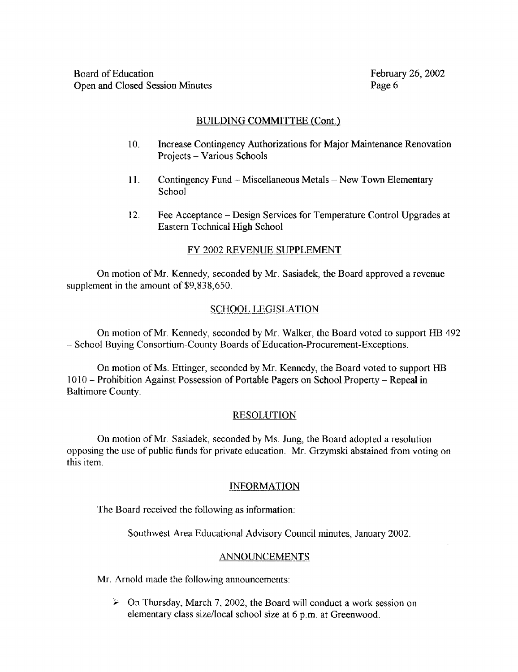## BUILDING COMMITTEE (Cont.)

- 10. Increase Contingency Authorizations for Major Maintenance Renovation Projects - Various Schools
- 11. Contingency Fund -- Miscellaneous Metals -- New Town Elementary **School**
- 12. Fee Acceptance Design Services for Temperature Control Upgrades at Eastern Technical High School

# FY 2002 REVENUE SUPPLEMENT

On motion ofMr. Kennedy, seconded by Mr. Sasiadek, the Board approved a revenue supplement in the amount of \$9,838,650.

## SCHOOL LEGISLATION

On motion ofMr. Kennedy, seconded by Mr. Walker, the Board voted to support HB 492 - School Buying Consortium-County Boards of Education-Procurement-Exceptions .

On motion of Ms. Ettinger, seconded by Mr. Kennedy, the Board voted to support HB 1010 - Prohibition Against Possession of Portable Pagers on School Property - Repeal in Baltimore County.

## RESOLUTION

On motion ofMr. Sasiadek, seconded by Ms. Jung, the Board adopted <sup>a</sup> resolution opposing the use of public funds for private education . Mr. Grzymski abstained from voting on this item.

## INFORMATION

The Board received the following as information :

Southwest Area Educational Advisory Council minutes, January 2002.

### ANNOUNCEMENTS

Mr. Arnold made the following announcements

 $\triangleright$  On Thursday, March 7, 2002, the Board will conduct a work session on elementary class size/local school size at 6 p.m. at Greenwood.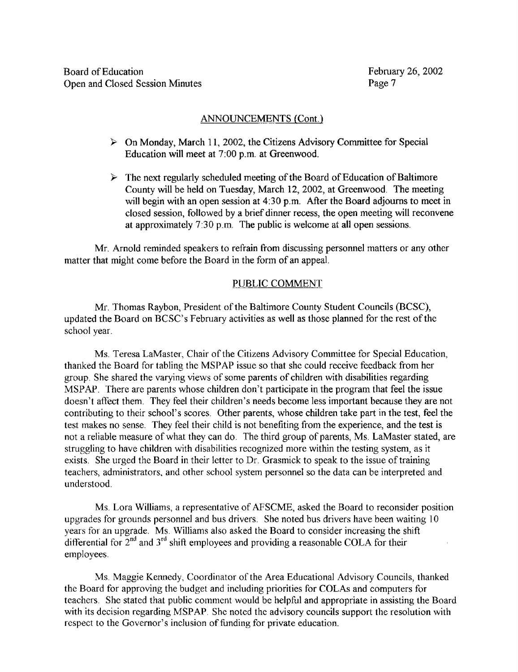### ANNOUNCEMENTS (Cont.)

- $\triangleright$  On Monday, March 11, 2002, the Citizens Advisory Committee for Special Education will meet at 7:00 p.m. at Greenwood.
- $\triangleright$  The next regularly scheduled meeting of the Board of Education of Baltimore County will be held on Tuesday, March 12, 2002, at Greenwood . The meeting will begin with an open session at 4.30 p.m. After the Board adjourns to meet in closed session, followed by a brief dinner recess, the open meeting will reconvene at approximately 7 :30 p.m. The public is welcome at all open sessions.

Mr. Arnold reminded speakers to refrain from discussing personnel matters or any other matter that might come before the Board in the form of an appeal.

### PUBLIC COMMENT

Mr. Thomas Raybon, President of the Baltimore County Student Councils (BCSC), updated the Board on BCSC's February activities as well as those planned for the rest of the school year.

Ms. Teresa LaMaster, Chair of the Citizens Advisory Committee for Special Education, thanked the Board for tabling the MSPAP issue so that she could receive feedback from her group She shared the varying views of some parents of children with disabilities regarding MSPAP. There are parents whose children don't participate in the program that feel the issue doesn't affect them. They feel their children's needs become less important because they are not contributing to their school's scores . Other parents, whose children take part in the test, feel the test makes no sense. They feel their child is not benefiting from the experience, and the test is not <sup>a</sup> reliable measure of what they can do. The third group of parents, Ms. LaMaster stated, are struggling to have children with disabilities recognized more within the testing system, as it exists. She urged the Board in their letter to Dr. Grasmick to speak to the issue of training teachers, administrators, and other school system personnel so the data can be interpreted and understood.

Ms. Lora Williams, a representative of AFSCME, asked the Board to reconsider position upgrades for grounds personnel and bus drivers. She noted bus drivers have been waiting 10 years for an upgrade. Ms. Williams also asked the Board to consider increasing the shift differential for  $2^{nd}$  and  $3^{rd}$  shift employees and providing a reasonable COLA for their employees.

Ms. Maggie Kennedy, Coordinator of the Area Educational Advisory Councils, thanked the Board for approving the budget and including priorities for COLAs and computers for teachers . She stated that public comment would be helpful and appropriate in assisting the Board with its decision regarding MSPAP. She noted the advisory councils support the resolution with respect to the Governor's inclusion of funding for private education.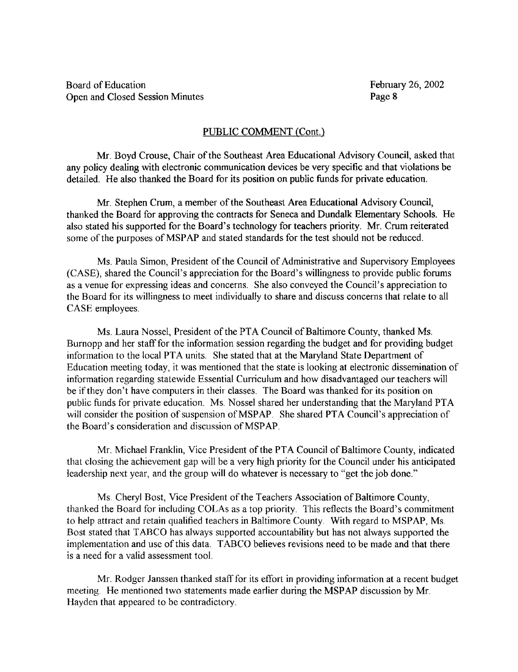## PUBLIC COMMENT (Cont.)

Mr. Boyd Crouse, Chair of the Southeast Area Educational Advisory Council, asked that any policy dealing with electronic communication devices be very specific and that violations be detailed. He also thanked the Board for its position on public funds for private education.

Mr. Stephen Crum, a member ofthe Southeast Area Educational Advisory Council, thanked the Board for approving the contracts for Seneca and Dundalk Elementary Schools. He also stated his supported for the Board's technology for teachers priority. Mr. Crum reiterated some of the purposes of MSPAP and stated standards for the test should not be reduced.

Ms. Paula Simon, President of the Council of Administrative and Supervisory Employees (CASE), shared the Council's appreciation for the Board's willingness to provide public forums as a venue for expressing ideas and concerns. She also conveyed the Council's appreciation to the Board for its willingness to meet individually to share and discuss concerns that relate to all CASE employees.

Ms. Laura Nossel, President of the PTA Council of Baltimore County, thanked Ms. Burnopp and her staff for the information session regarding the budget and for providing budget information to the local PTA units. She stated that at the Maryland State Department of Education meeting today, it was mentioned that the state is looking at electronic dissemination of information regarding statewide Essential Curriculum and how disadvantaged our teachers will be if they don't have computers in their classes. The Board was thanked for its position on public funds for private education. Ms. Nossel shared her understanding that the Maryland PTA will consider the position of suspension of MSPAP. She shared PTA Council's appreciation of the Board's consideration and discussion of MSPAP.

Mr. Michael Franklin, Vice President of the PTA Council of Baltimore County, indicated that closing the achievement gap will be a very high priority for the Council under his anticipated leadership next year, and the group will do whatever is necessary to "get the job done."

Ms. Cheryl Bost, Vice President of the Teachers Association of Baltimore County, thanked the Board for including COLAs as a top priority . This reflects the Board's commitment to help attract and retain qualified teachers in Baltimore County. With regard to MSPAP, Ms. Bost stated that TABCO has always supported accountability but has not always supported the implementation and use of this data. TABCO believes revisions need to be made and that there is a need for a valid assessment tool.

Mr. Rodger Janssen thanked staff for its effort in providing information at a recent budget meeting. He mentioned two statements made earlier during the MSPAP discussion by Mr Hayden that appeared to be contradictory.